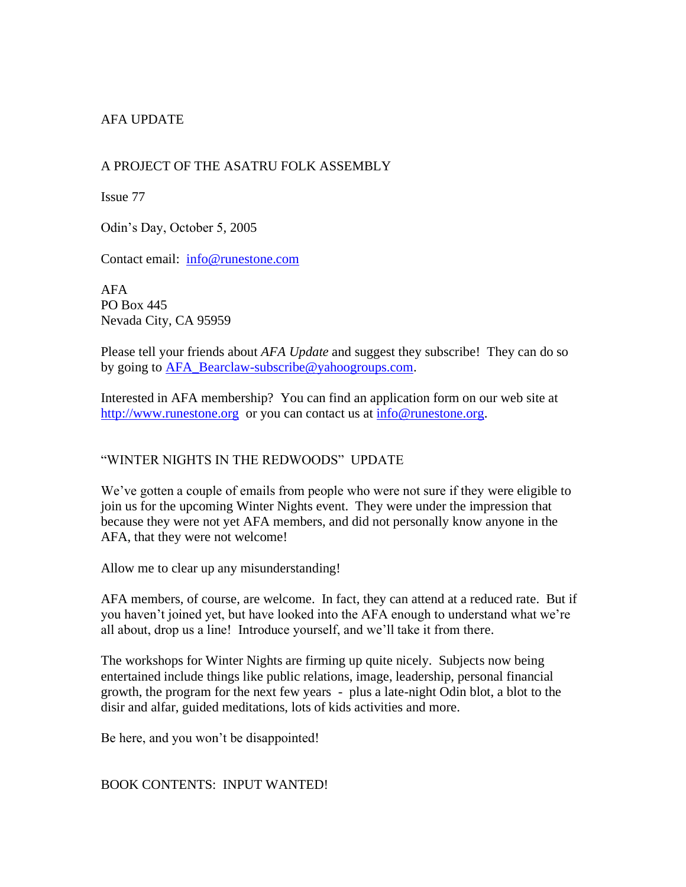# AFA UPDATE

## A PROJECT OF THE ASATRU FOLK ASSEMBLY

Issue 77

Odin's Day, October 5, 2005

Contact email: [info@runestone.com](mailto:info@runestone.com)

AFA PO Box 445 Nevada City, CA 95959

Please tell your friends about *AFA Update* and suggest they subscribe! They can do so by going to [AFA\\_Bearclaw-subscribe@yahoogroups.com.](mailto:AFA_Bearclaw-subscribe@yahoogroups.com)

Interested in AFA membership? You can find an application form on our web site at [http://www.runestone.org](http://www.runestone.org/) or you can contact us at [info@runestone.org.](mailto:info@runestone.org)

## "WINTER NIGHTS IN THE REDWOODS" UPDATE

We've gotten a couple of emails from people who were not sure if they were eligible to join us for the upcoming Winter Nights event. They were under the impression that because they were not yet AFA members, and did not personally know anyone in the AFA, that they were not welcome!

Allow me to clear up any misunderstanding!

AFA members, of course, are welcome. In fact, they can attend at a reduced rate. But if you haven't joined yet, but have looked into the AFA enough to understand what we're all about, drop us a line! Introduce yourself, and we'll take it from there.

The workshops for Winter Nights are firming up quite nicely. Subjects now being entertained include things like public relations, image, leadership, personal financial growth, the program for the next few years - plus a late-night Odin blot, a blot to the disir and alfar, guided meditations, lots of kids activities and more.

Be here, and you won't be disappointed!

BOOK CONTENTS: INPUT WANTED!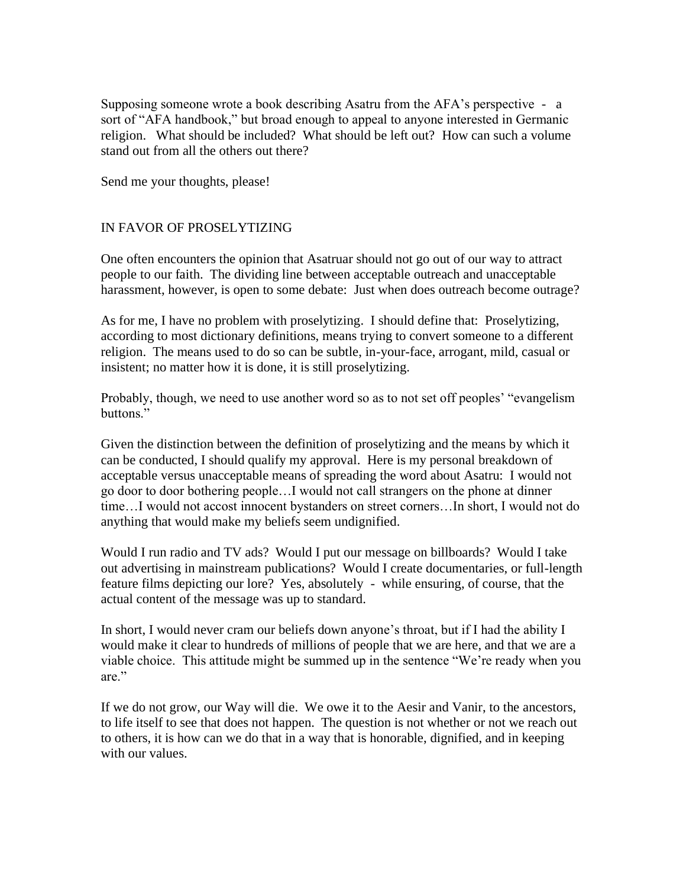Supposing someone wrote a book describing Asatru from the AFA's perspective - a sort of "AFA handbook," but broad enough to appeal to anyone interested in Germanic religion. What should be included? What should be left out? How can such a volume stand out from all the others out there?

Send me your thoughts, please!

### IN FAVOR OF PROSELYTIZING

One often encounters the opinion that Asatruar should not go out of our way to attract people to our faith. The dividing line between acceptable outreach and unacceptable harassment, however, is open to some debate: Just when does outreach become outrage?

As for me, I have no problem with proselytizing. I should define that: Proselytizing, according to most dictionary definitions, means trying to convert someone to a different religion. The means used to do so can be subtle, in-your-face, arrogant, mild, casual or insistent; no matter how it is done, it is still proselytizing.

Probably, though, we need to use another word so as to not set off peoples' "evangelism buttons."

Given the distinction between the definition of proselytizing and the means by which it can be conducted, I should qualify my approval. Here is my personal breakdown of acceptable versus unacceptable means of spreading the word about Asatru: I would not go door to door bothering people…I would not call strangers on the phone at dinner time…I would not accost innocent bystanders on street corners…In short, I would not do anything that would make my beliefs seem undignified.

Would I run radio and TV ads? Would I put our message on billboards? Would I take out advertising in mainstream publications? Would I create documentaries, or full-length feature films depicting our lore? Yes, absolutely - while ensuring, of course, that the actual content of the message was up to standard.

In short, I would never cram our beliefs down anyone's throat, but if I had the ability I would make it clear to hundreds of millions of people that we are here, and that we are a viable choice. This attitude might be summed up in the sentence "We're ready when you are."

If we do not grow, our Way will die. We owe it to the Aesir and Vanir, to the ancestors, to life itself to see that does not happen. The question is not whether or not we reach out to others, it is how can we do that in a way that is honorable, dignified, and in keeping with our values.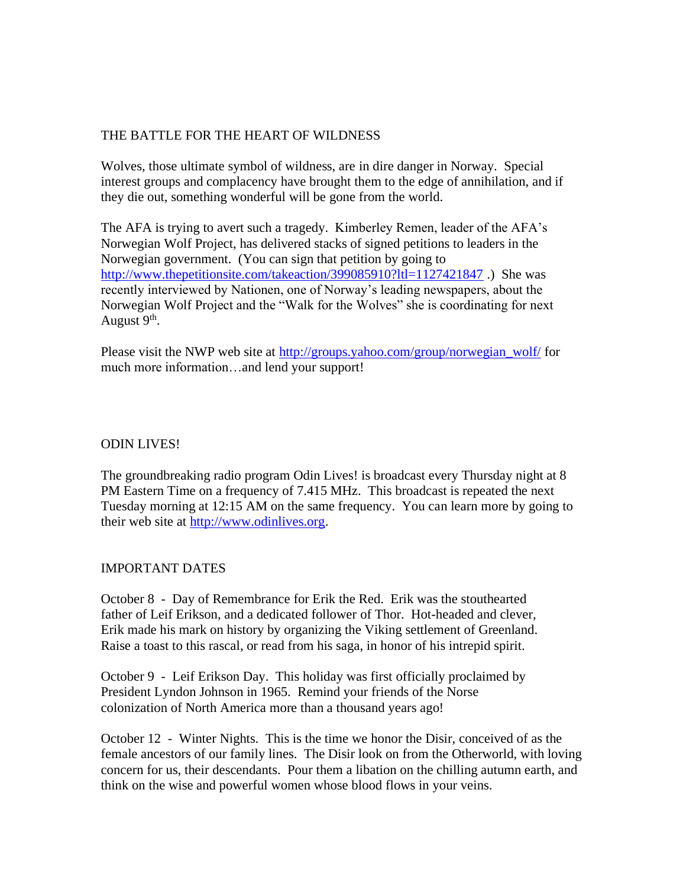### THE BATTLE FOR THE HEART OF WILDNESS

Wolves, those ultimate symbol of wildness, are in dire danger in Norway. Special interest groups and complacency have brought them to the edge of annihilation, and if they die out, something wonderful will be gone from the world.

The AFA is trying to avert such a tragedy. Kimberley Remen, leader of the AFA's Norwegian Wolf Project, has delivered stacks of signed petitions to leaders in the Norwegian government. (You can sign that petition by going to <http://www.thepetitionsite.com/takeaction/399085910?ltl=1127421847>.) She was recently interviewed by Nationen, one of Norway's leading newspapers, about the Norwegian Wolf Project and the "Walk for the Wolves" she is coordinating for next August 9<sup>th</sup>.

Please visit the NWP web site at [http://groups.yahoo.com/group/norwegian\\_wolf/](http://groups.yahoo.com/group/norwegian_wolf/) for much more information…and lend your support!

### ODIN LIVES!

The groundbreaking radio program Odin Lives! is broadcast every Thursday night at 8 PM Eastern Time on a frequency of 7.415 MHz. This broadcast is repeated the next Tuesday morning at 12:15 AM on the same frequency. You can learn more by going to their web site at [http://www.odinlives.org.](http://www.odinlives.org/)

### IMPORTANT DATES

October 8 - Day of Remembrance for Erik the Red. Erik was the stouthearted father of Leif Erikson, and a dedicated follower of Thor. Hot-headed and clever, Erik made his mark on history by organizing the Viking settlement of Greenland. Raise a toast to this rascal, or read from his saga, in honor of his intrepid spirit.

October 9 - Leif Erikson Day. This holiday was first officially proclaimed by President Lyndon Johnson in 1965. Remind your friends of the Norse colonization of North America more than a thousand years ago!

October 12 - Winter Nights. This is the time we honor the Disir, conceived of as the female ancestors of our family lines. The Disir look on from the Otherworld, with loving concern for us, their descendants. Pour them a libation on the chilling autumn earth, and think on the wise and powerful women whose blood flows in your veins.